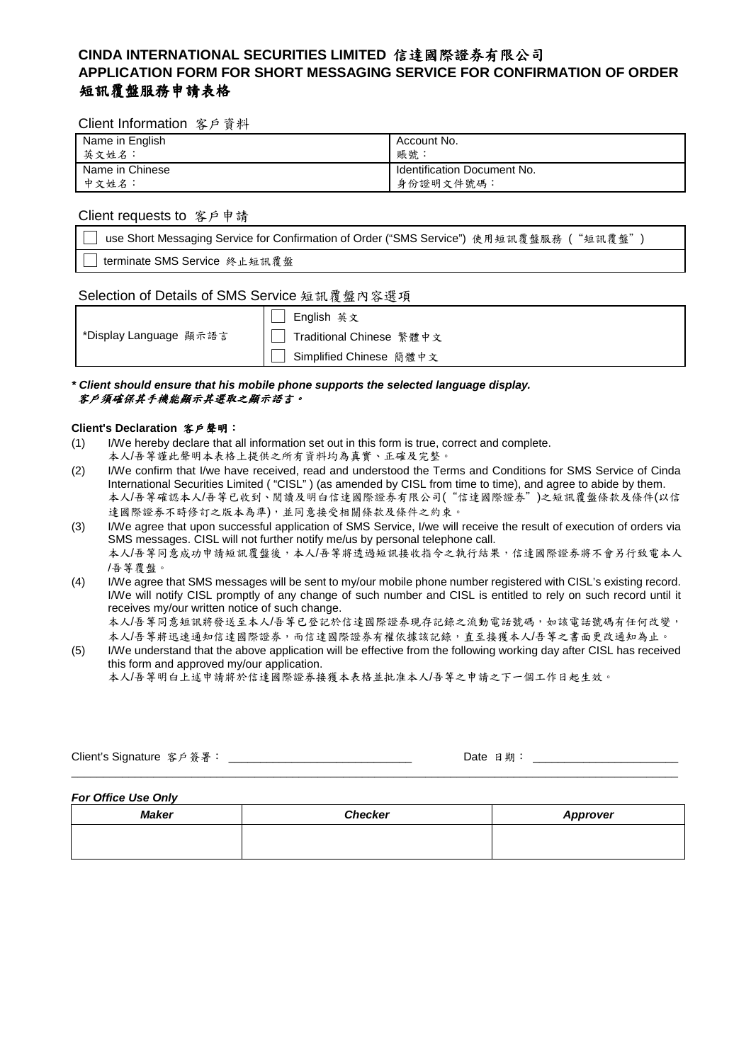# **CINDA INTERNATIONAL SECURITIES LIMITED** 信達國際證券有限公司 **APPLICATION FORM FOR SHORT MESSAGING SERVICE FOR CONFIRMATION OF ORDER**  短訊覆盤服務申請表格

#### Client Information 客戶資料

| Name in English | Account No.                 |
|-----------------|-----------------------------|
| 英文姓名:           | 賬號.                         |
| Name in Chinese | Identification Document No. |
| 中文姓名:           | 身份證明文件號碼:                   |

#### Client requests to 客戶申請

use Short Messaging Service for Confirmation of Order ("SMS Service") 使用短訊覆盤服務 ( "短訊覆盤") terminate SMS Service 終止短訊覆盤

### Selection of Details of SMS Service 短訊覆盤內容選項

|                        | English 英文               |
|------------------------|--------------------------|
| *Display Language 顯示語言 | Traditional Chinese 繁體中文 |
|                        | Simplified Chinese 簡體中文  |

**\* Client should ensure that his mobile phone supports the selected language display.**  客戶須確保其手機能顧示其選取之顧示語言。

#### **Client's Declaration** 客戶聲明:

- (1) I/We hereby declare that all information set out in this form is true, correct and complete.
- 本人/吾等謹此聲明本表格上提供之所有資料均為真實、正確及完整。
- (2) I/We confirm that I/we have received, read and understood the Terms and Conditions for SMS Service of Cinda International Securities Limited ( "CISL" ) (as amended by CISL from time to time), and agree to abide by them. 本人/吾等確認本人/吾等已收到、閱讀及明白信達國際證券有限公司("信達國際證券")之短訊覆盤條款及條件(以信 達國際證券不時修訂之版本為準),並同意接受相關條款及條件之約束。
- (3) I/We agree that upon successful application of SMS Service, I/we will receive the result of execution of orders via SMS messages. CISL will not further notify me/us by personal telephone call. 本人/吾等同意成功申請短訊覆盤後,本人/吾等將透過短訊接收指令之執行結果,信達國際證券將不會另行致電本人 /吾等覆盤。
- (4) I/We agree that SMS messages will be sent to my/our mobile phone number registered with CISL's existing record. I/We will notify CISL promptly of any change of such number and CISL is entitled to rely on such record until it receives my/our written notice of such change.

本人/吾等同意短訊將發送至本人/吾等已登記於信達國際證券現存記錄之流動電話號碼,如該電話號碼有任何改變, 本人/吾等將迅速通知信達國際證券,而信達國際證券有權依據該記錄,直至接獲本人/吾等之書面更改通知為止。

(5) I/We understand that the above application will be effective from the following working day after CISL has received this form and approved my/our application.

本人/吾等明白上述申請將於信達國際證券接獲本表格並批准本人/吾等之申請之下一個工作日起生效。

Client's Signature 客戶簽署: \_\_\_\_\_\_\_\_\_\_\_\_\_\_\_\_\_\_\_\_\_\_\_\_\_\_\_\_\_ Date 日期: \_\_\_\_\_\_\_\_\_\_\_\_\_\_\_\_\_\_\_\_\_\_\_  $\overline{\phantom{a}}$  , and the contribution of the contribution of the contribution of the contribution of the contribution of the contribution of the contribution of the contribution of the contribution of the contribution of the

**For Office Use Only** 

| Maker | <b>Checker</b> | <b>Approver</b> |
|-------|----------------|-----------------|
|       |                |                 |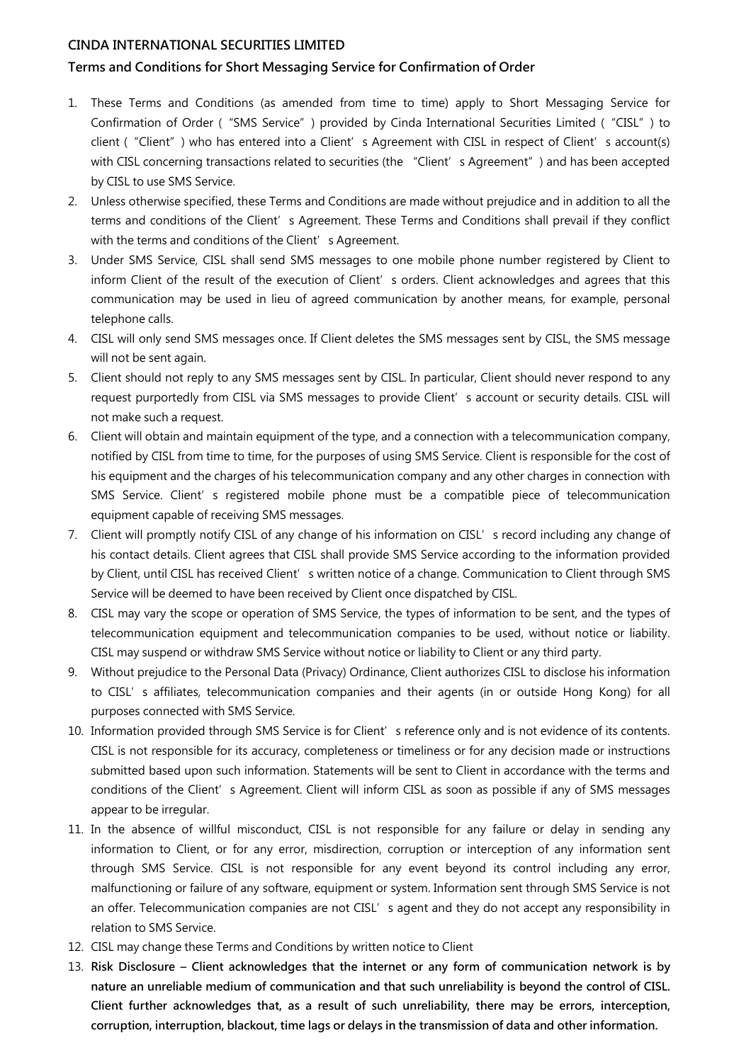# CINDA INTERNATIONAL SECURITIES LIMITED

# Terms and Conditions for Short Messaging Service for Confirmation of Order

- 1. These Terms and Conditions (as amended from time to time) apply to Short Messaging Service for Confirmation of Order ("SMS Service") provided by Cinda International Securities Limited ("CISL") to client ("Client") who has entered into a Client's Agreement with CISL in respect of Client's account(s) with CISL concerning transactions related to securities (the "Client' s Agreement") and has been accepted by CISL to use SMS Service.
- 2. Unless otherwise specified, these Terms and Conditions are made without prejudice and in addition to all the terms and conditions of the Client's Agreement. These Terms and Conditions shall prevail if they conflict with the terms and conditions of the Client's Agreement.
- 3. Under SMS Service, CISL shall send SMS messages to one mobile phone number registered by Client to inform Client of the result of the execution of Client's orders. Client acknowledges and agrees that this communication may be used in lieu of agreed communication by another means, for example, personal telephone calls.
- 4. CISL will only send SMS messages once. If Client deletes the SMS messages sent by CISL, the SMS message will not be sent again.
- 5. Client should not reply to any SMS messages sent by CISL. In particular, Client should never respond to any request purportedly from CISL via SMS messages to provide Client' s account or security details. CISL will not make such a request.
- 6. Client will obtain and maintain equipment of the type, and a connection with a telecommunication company, notified by CISL from time to time, for the purposes of using SMS Service. Client is responsible for the cost of his equipment and the charges of his telecommunication company and any other charges in connection with SMS Service. Client's registered mobile phone must be a compatible piece of telecommunication equipment capable of receiving SMS messages.
- 7. Client will promptly notify CISL of any change of his information on CISL's record including any change of his contact details. Client agrees that CISL shall provide SMS Service according to the information provided by Client, until CISL has received Client's written notice of a change. Communication to Client through SMS Service will be deemed to have been received by Client once dispatched by CISL.
- 8. CISL may vary the scope or operation of SMS Service, the types of information to be sent, and the types of telecommunication equipment and telecommunication companies to be used, without notice or liability. CISL may suspend or withdraw SMS Service without notice or liability to Client or any third party.
- 9. Without prejudice to the Personal Data (Privacy) Ordinance, Client authorizes CISL to disclose his information to CISL's affiliates, telecommunication companies and their agents (in or outside Hong Kong) for all purposes connected with SMS Service.
- 10. Information provided through SMS Service is for Client' s reference only and is not evidence of its contents. CISL is not responsible for its accuracy, completeness or timeliness or for any decision made or instructions submitted based upon such information. Statements will be sent to Client in accordance with the terms and conditions of the Client's Agreement. Client will inform CISL as soon as possible if any of SMS messages appear to be irregular.
- 11. In the absence of willful misconduct, CISL is not responsible for any failure or delay in sending any information to Client, or for any error, misdirection, corruption or interception of any information sent through SMS Service. CISL is not responsible for any event beyond its control including any error, malfunctioning or failure of any software, equipment or system. Information sent through SMS Service is not an offer. Telecommunication companies are not CISL's agent and they do not accept any responsibility in relation to SMS Service.
- 12. CISL may change these Terms and Conditions by written notice to Client
- 13. Risk Disclosure Client acknowledges that the internet or any form of communication network is by nature an unreliable medium of communication and that such unreliability is beyond the control of CISL. Client further acknowledges that, as a result of such unreliability, there may be errors, interception, corruption, interruption, blackout, time lags or delays in the transmission of data and other information.